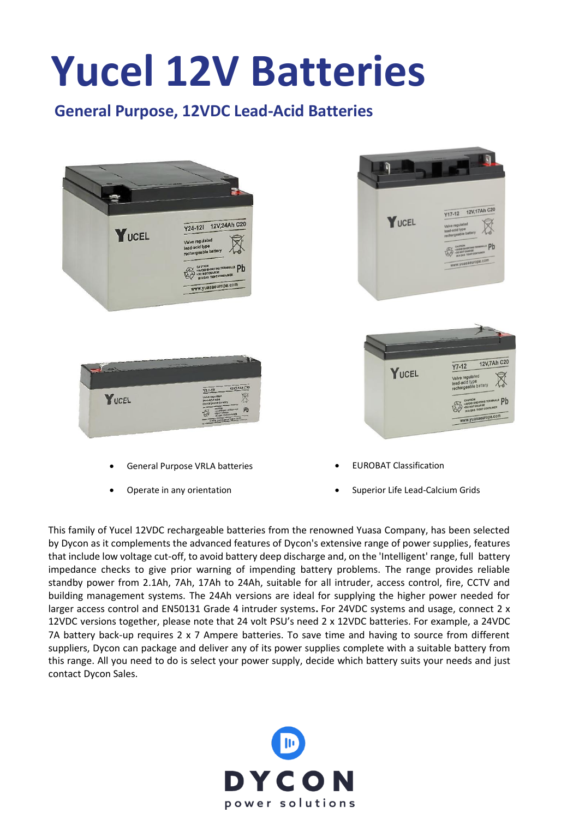## **Yucel 12V Batteries**

## **General Purpose, 12VDC Lead-Acid Batteries**



• Operate in any orientation

• Superior Life Lead-Calcium Grids

This family of Yucel 12VDC rechargeable batteries from the renowned Yuasa Company, has been selected by Dycon as it complements the advanced features of Dycon's extensive range of power supplies, features that include low voltage cut-off, to avoid battery deep discharge and, on the 'Intelligent' range, full battery impedance checks to give prior warning of impending battery problems. The range provides reliable standby power from 2.1Ah, 7Ah, 17Ah to 24Ah, suitable for all intruder, access control, fire, CCTV and building management systems. The 24Ah versions are ideal for supplying the higher power needed for larger access control and EN50131 Grade 4 intruder systems**.** For 24VDC systems and usage, connect 2 x 12VDC versions together, please note that 24 volt PSU's need 2 x 12VDC batteries. For example, a 24VDC 7A battery back-up requires 2 x 7 Ampere batteries. To save time and having to source from different suppliers, Dycon can package and deliver any of its power supplies complete with a suitable battery from this range. All you need to do is select your power supply, decide which battery suits your needs and just contact Dycon Sales.